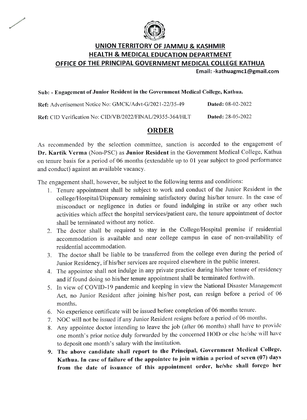

## UNION TERRITORY OF JAMMU & KASHMIR HEALTH & MEDICAL EDUCATION DEPARTMENT OFFICE OF THE PRINCIPAL GOVERNMENT MEDICAL COLLEGE KATHUA

Email:-kathuagmcl@gmail.com

#### Sub: - Engagement of Junior Resident in the Government Medical College, Kathua.

| Ref: Advertisement Notice No: GMCK/Advt-G/2021-22/35-49   | <b>Dated: 08-02-2022</b> |
|-----------------------------------------------------------|--------------------------|
| Ref: CID Verification No: CID/VB/2022/FINAL/29355-364/HLT | <b>Dated:</b> 28-05-2022 |

### ORDER

As recommended by the selection committee, sanction is accorded to the engagement of Dr. Kartik Verma (Non-PSC) as Junior Resident in the Government Medical College, Kathua on tenure basis for a period of 06 months (extendable up to 01 year subject to good pertormance and conduct) against an available vacancy.

The engagement shall, however, be subject to the following terms and conditions:

- 1. Tenure appointment shall be subject to work and conduct of the Junior Resident in the college/Hospital/Dispensary remaining satisfactory during his/her tenure. In the case of misconduct or negligence in duties or found indulging in strike or any other such activities which affect the hospital services/patient care, the tenure appointment of doctor shall be terminated without any notice.
- 2. The doctor shall be required to stay in the College/Hospital premise if residential accommodation is available and near college campus in case of non-availability of residential accommodation.
- 3. The doctor shall be liable to be transferred from the coliege even during the period of Junior Residency, if his/her services are required elsewhere in the public interest.
- 4. The appointee shall not indulge in any private practice during his/her tenure of residency and if found doing so his/her tenure appointment shall be terminated forthwith.
- 5. In view of COVID-19 pandemic and keeping in view the National Disaster Management Act, no Junior Resident after joining his/her post, can resign before a period of 06 months.
- 6. No experience certificate will be issued before completion of 06 months tenure.
- 7. NOC will not be issued if any Junior Resident resigns before a period of 06 months
- 8. Any appointee doctor intending to leave the job (alier 06 months) shall have to provide one month's prior notice duly forwarded by the concerned HOD or else he/she will have to deposit one month's salary with the institution.
- 9. The above candidate shall report to the Principal, Government Medical College, Kathua. In case of failure of the appointee to join within a period of seven (07) days from the date of issuance of this appointment order, he/she shall forego her